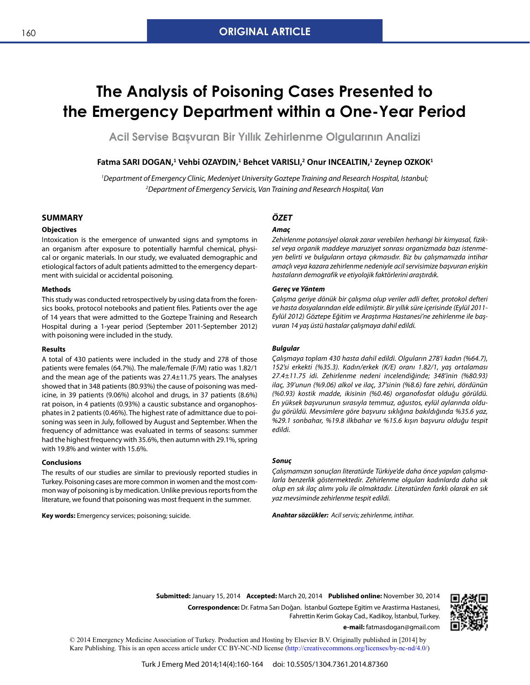# **The Analysis of Poisoning Cases Presented to the Emergency Department within a One-Year Period**

**Acil Servise Başvuran Bir Yıllık Zehirlenme Olgularının Analizi**

## $\mathsf{Fatma}$  SARI DOGAN, $^1$  Vehbi OZAYDIN, $^1$  Behcet VARISLI, $^2$  Onur INCEALTIN, $^1$  Zeynep OZKOK $^1$

*1 Department of Emergency Clinic, Medeniyet University Goztepe Training and Research Hospital, Istanbul; 2 Department of Emergency Servicis, Van Training and Research Hospital, Van*

## **SUMMARY**

#### **Objectives**

Intoxication is the emergence of unwanted signs and symptoms in an organism after exposure to potentially harmful chemical, physical or organic materials. In our study, we evaluated demographic and etiological factors of adult patients admitted to the emergency department with suicidal or accidental poisoning.

#### **Methods**

This study was conducted retrospectively by using data from the forensics books, protocol notebooks and patient files. Patients over the age of 14 years that were admitted to the Goztepe Training and Research Hospital during a 1-year period (September 2011-September 2012) with poisoning were included in the study.

#### **Results**

A total of 430 patients were included in the study and 278 of those patients were females (64.7%). The male/female (F/M) ratio was 1.82/1 and the mean age of the patients was 27.4±11.75 years. The analyses showed that in 348 patients (80.93%) the cause of poisoning was medicine, in 39 patients (9.06%) alcohol and drugs, in 37 patients (8.6%) rat poison, in 4 patients (0.93%) a caustic substance and organophosphates in 2 patients (0.46%). The highest rate of admittance due to poisoning was seen in July, followed by August and September. When the frequency of admittance was evaluated in terms of seasons: summer had the highest frequency with 35.6%, then autumn with 29.1%, spring with 19.8% and winter with 15.6%.

#### **Conclusions**

The results of our studies are similar to previously reported studies in Turkey. Poisoning cases are more common in women and the most common way of poisoning is by medication. Unlike previous reports from the literature, we found that poisoning was most frequent in the summer.

**Key words:** Emergency services; poisoning; suicide.

# *ÖZET*

#### *Amaç*

*Zehirlenme potansiyel olarak zarar verebilen herhangi bir kimyasal, fiziksel veya organik maddeye maruziyet sonrası organizmada bazı istenmeyen belirti ve bulguların ortaya çıkmasıdır. Biz bu çalışmamızda intihar amaçlı veya kazara zehirlenme nedeniyle acil servisimize başvuran erişkin hastaların demografik ve etiyolojik faktörlerini araştırdık.*

#### *Gereç ve Yöntem*

*Çalışma geriye dönük bir çalışma olup veriler adli defter, protokol defteri ve hasta dosyalarından elde edilmiştir. Bir yıllık süre içerisinde (Eylül 2011- Eylül 2012) Göztepe Eğitim ve Araştırma Hastanesi'ne zehirlenme ile başvuran 14 yaş üstü hastalar çalışmaya dahil edildi.*

#### *Bulgular*

*Çalışmaya toplam 430 hasta dahil edildi. Olguların 278'i kadın (%64.7), 152'si erkekti (%35.3). Kadın/erkek (K/E) oranı 1.82/1, yaş ortalaması 27.4±11.75 idi. Zehirlenme nedeni incelendiğinde; 348'inin (%80.93) ilaç, 39'unun (%9.06) alkol ve ilaç, 37'sinin (%8.6) fare zehiri, dördünün (%0.93) kostik madde, ikisinin (%0.46) organofosfat olduğu görüldü. En yüksek başvurunun sırasıyla temmuz, ağustos, eylül aylarında olduğu görüldü. Mevsimlere göre başvuru sıklığına bakıldığında %35.6 yaz, %29.1 sonbahar, %19.8 ilkbahar ve %15.6 kışın başvuru olduğu tespit edildi.*

## *Sonuç*

*Çalışmamızın sonuçları literatürde Türkiye'de daha önce yapılan çalışmalarla benzerlik göstermektedir. Zehirlenme olguları kadınlarda daha sık olup en sık ilaç alımı yolu ile olmaktadır. Literatürden farklı olarak en sık yaz mevsiminde zehirlenme tespit edildi.*

*Anahtar sözcükler: Acil servis; zehirlenme, intihar.*

**Submitted:** January 15, 2014 **Accepted:** March 20, 2014 **Published online:** November 30, 2014 **Correspondence:** Dr. Fatma Sarı Doğan. İstanbul Goztepe Egitim ve Arastirma Hastanesi, Fahrettin Kerim Gokay Cad., Kadikoy, İstanbul, Turkey.



**e-mail:** fatmasdogan@gmail.com

© 2014 Emergency Medicine Association of Turkey. Production and Hosting by Elsevier B.V. Originally published in [2014] by Kare Publishing. This is an open access article under CC BY-NC-ND license ([http://creativecommons.org/licenses/by-nc-nd/4.0/\)](http://creativecommons.org/licenses/by-nc-nd/4.0/)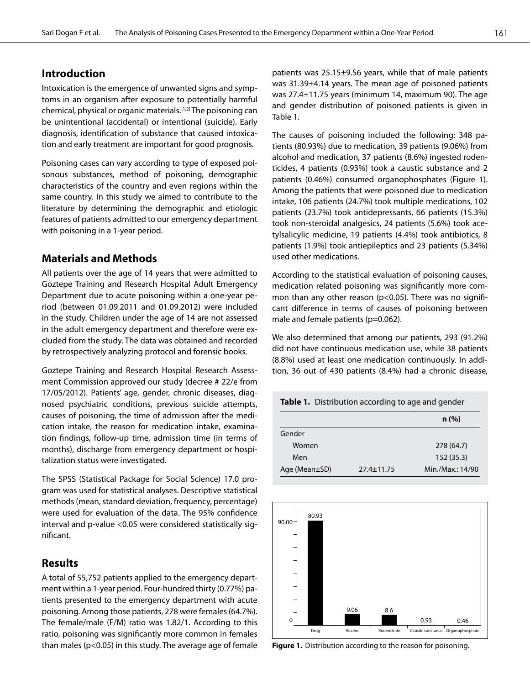# **Introduction**

Intoxication is the emergence of unwanted signs and symptoms in an organism after exposure to potentially harmful chemical, physical or organic materials.[1,2] The poisoning can be unintentional (accidental) or intentional (suicide). Early diagnosis, identification of substance that caused intoxication and early treatment are important for good prognosis.

Poisoning cases can vary according to type of exposed poisonous substances, method of poisoning, demographic characteristics of the country and even regions within the same country. In this study we aimed to contribute to the literature by determining the demographic and etiologic features of patients admitted to our emergency department with poisoning in a 1-year period.

# **Materials and Methods**

All patients over the age of 14 years that were admitted to Goztepe Training and Research Hospital Adult Emergency Department due to acute poisoning within a one-year period (between 01.09.2011 and 01.09.2012) were included in the study. Children under the age of 14 are not assessed in the adult emergency department and therefore were excluded from the study. The data was obtained and recorded by retrospectively analyzing protocol and forensic books.

Goztepe Training and Research Hospital Research Assessment Commission approved our study (decree # 22/e from 17/05/2012). Patients' age, gender, chronic diseases, diagnosed psychiatric conditions, previous suicide attempts, causes of poisoning, the time of admission after the medication intake, the reason for medication intake, examination findings, follow-up time, admission time (in terms of months), discharge from emergency department or hospitalization status were investigated.

The SPSS (Statistical Package for Social Science) 17.0 program was used for statistical analyses. Descriptive statistical methods (mean, standard deviation, frequency, percentage) were used for evaluation of the data. The 95% confidence interval and p-value <0.05 were considered statistically significant.

# **Results**

A total of 55,752 patients applied to the emergency department within a 1-year period. Four-hundred thirty (0.77%) patients presented to the emergency department with acute poisoning. Among those patients, 278 were females (64.7%). The female/male (F/M) ratio was 1.82/1. According to this ratio, poisoning was significantly more common in females than males (p<0.05) in this study. The average age of female

patients was 25.15±9.56 years, while that of male patients was 31.39±4.14 years. The mean age of poisoned patients was 27.4±11.75 years (minimum 14, maximum 90). The age and gender distribution of poisoned patients is given in Table 1.

The causes of poisoning included the following: 348 patients (80.93%) due to medication, 39 patients (9.06%) from alcohol and medication, 37 patients (8.6%) ingested rodenticides, 4 patients (0.93%) took a caustic substance and 2 patients (0.46%) consumed organophosphates (Figure 1). Among the patients that were poisoned due to medication intake, 106 patients (24.7%) took multiple medications, 102 patients (23.7%) took antidepressants, 66 patients (15.3%) took non-steroidal analgesics, 24 patients (5.6%) took acetylsalicylic medicine, 19 patients (4.4%) took antibiotics, 8 patients (1.9%) took antiepileptics and 23 patients (5.34%) used other medications.

According to the statistical evaluation of poisoning causes, medication related poisoning was significantly more common than any other reason (p<0.05). There was no significant difference in terms of causes of poisoning between male and female patients (p=0.062).

We also determined that among our patients, 293 (91.2%) did not have continuous medication use, while 38 patients (8.8%) used at least one medication continuously. In addition, 36 out of 430 patients (8.4%) had a chronic disease,

| <b>Table 1.</b> Distribution according to age and gender |                  |                  |
|----------------------------------------------------------|------------------|------------------|
|                                                          |                  | n(%)             |
| Gender                                                   |                  |                  |
| Women                                                    |                  | 278 (64.7)       |
| Men                                                      |                  | 152 (35.3)       |
| Age (Mean $\pm$ SD)                                      | $27.4 \pm 11.75$ | Min./Max.: 14/90 |



**Figure 1.** Distribution according to the reason for poisoning.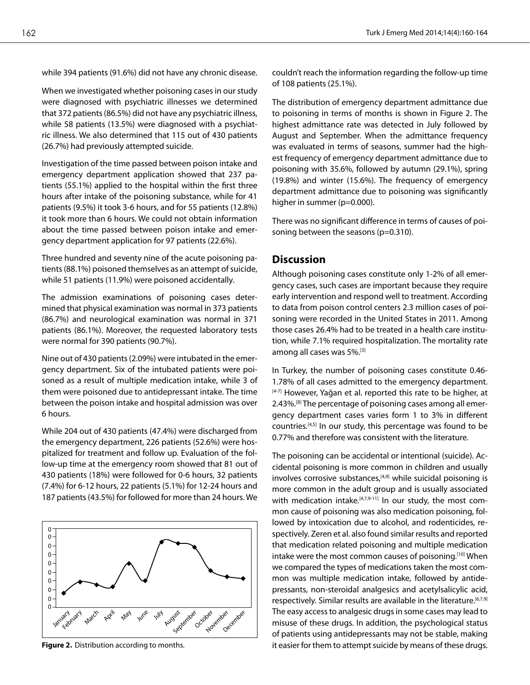while 394 patients (91.6%) did not have any chronic disease.

When we investigated whether poisoning cases in our study were diagnosed with psychiatric illnesses we determined that 372 patients (86.5%) did not have any psychiatric illness, while 58 patients (13.5%) were diagnosed with a psychiatric illness. We also determined that 115 out of 430 patients (26.7%) had previously attempted suicide.

Investigation of the time passed between poison intake and emergency department application showed that 237 patients (55.1%) applied to the hospital within the first three hours after intake of the poisoning substance, while for 41 patients (9.5%) it took 3-6 hours, and for 55 patients (12.8%) it took more than 6 hours. We could not obtain information about the time passed between poison intake and emergency department application for 97 patients (22.6%).

Three hundred and seventy nine of the acute poisoning patients (88.1%) poisoned themselves as an attempt of suicide, while 51 patients (11.9%) were poisoned accidentally.

The admission examinations of poisoning cases determined that physical examination was normal in 373 patients (86.7%) and neurological examination was normal in 371 patients (86.1%). Moreover, the requested laboratory tests were normal for 390 patients (90.7%).

Nine out of 430 patients (2.09%) were intubated in the emergency department. Six of the intubated patients were poisoned as a result of multiple medication intake, while 3 of them were poisoned due to antidepressant intake. The time between the poison intake and hospital admission was over 6 hours.

While 204 out of 430 patients (47.4%) were discharged from the emergency department, 226 patients (52.6%) were hospitalized for treatment and follow up. Evaluation of the follow-up time at the emergency room showed that 81 out of 430 patients (18%) were followed for 0-6 hours, 32 patients (7.4%) for 6-12 hours, 22 patients (5.1%) for 12-24 hours and 187 patients (43.5%) for followed for more than 24 hours. We



**Figure 2.** Distribution according to months.

couldn't reach the information regarding the follow-up time of 108 patients (25.1%).

The distribution of emergency department admittance due to poisoning in terms of months is shown in Figure 2. The highest admittance rate was detected in July followed by August and September. When the admittance frequency was evaluated in terms of seasons, summer had the highest frequency of emergency department admittance due to poisoning with 35.6%, followed by autumn (29.1%), spring (19.8%) and winter (15.6%). The frequency of emergency department admittance due to poisoning was significantly higher in summer (p=0.000).

There was no significant difference in terms of causes of poisoning between the seasons (p=0.310).

## **Discussion**

Although poisoning cases constitute only 1-2% of all emergency cases, such cases are important because they require early intervention and respond well to treatment. According to data from poison control centers 2.3 million cases of poisoning were recorded in the United States in 2011. Among those cases 26.4% had to be treated in a health care institution, while 7.1% required hospitalization. The mortality rate among all cases was 5%.[3]

In Turkey, the number of poisoning cases constitute 0.46- 1.78% of all cases admitted to the emergency department. [4-7] However, Yağan et al. reported this rate to be higher, at 2.43%.[8] The percentage of poisoning cases among all emergency department cases varies form 1 to 3% in different countries.[4,5] In our study, this percentage was found to be 0.77% and therefore was consistent with the literature.

The poisoning can be accidental or intentional (suicide). Accidental poisoning is more common in children and usually involves corrosive substances, $[4,9]$  while suicidal poisoning is more common in the adult group and is usually associated with medication intake.<sup>[4,7,9-11]</sup> In our study, the most common cause of poisoning was also medication poisoning, followed by intoxication due to alcohol, and rodenticides, respectively. Zeren et al. also found similar results and reported that medication related poisoning and multiple medication intake were the most common causes of poisoning.<sup>[10]</sup> When we compared the types of medications taken the most common was multiple medication intake, followed by antidepressants, non-steroidal analgesics and acetylsalicylic acid, respectively. Similar results are available in the literature.<sup>[6,7,9]</sup> The easy access to analgesic drugs in some cases may lead to misuse of these drugs. In addition, the psychological status of patients using antidepressants may not be stable, making it easier for them to attempt suicide by means of these drugs.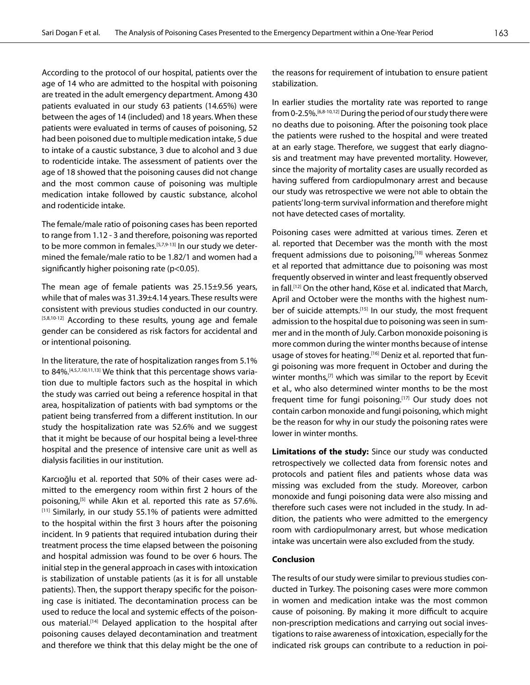According to the protocol of our hospital, patients over the age of 14 who are admitted to the hospital with poisoning are treated in the adult emergency department. Among 430 patients evaluated in our study 63 patients (14.65%) were between the ages of 14 (included) and 18 years. When these patients were evaluated in terms of causes of poisoning, 52 had been poisoned due to multiple medication intake, 5 due to intake of a caustic substance, 3 due to alcohol and 3 due to rodenticide intake. The assessment of patients over the age of 18 showed that the poisoning causes did not change and the most common cause of poisoning was multiple medication intake followed by caustic substance, alcohol and rodenticide intake.

The female/male ratio of poisoning cases has been reported to range from 1.12 - 3 and therefore, poisoning was reported to be more common in females.<sup>[5,7,9-13]</sup> In our study we determined the female/male ratio to be 1.82/1 and women had a significantly higher poisoning rate (p<0.05).

The mean age of female patients was 25.15±9.56 years, while that of males was 31.39±4.14 years. These results were consistent with previous studies conducted in our country. [5,8,10-12] According to these results, young age and female gender can be considered as risk factors for accidental and or intentional poisoning.

In the literature, the rate of hospitalization ranges from 5.1% to 84%.[4,5,7,10,11,13] We think that this percentage shows variation due to multiple factors such as the hospital in which the study was carried out being a reference hospital in that area, hospitalization of patients with bad symptoms or the patient being transferred from a different institution. In our study the hospitalization rate was 52.6% and we suggest that it might be because of our hospital being a level-three hospital and the presence of intensive care unit as well as dialysis facilities in our institution.

Karcıoğlu et al. reported that 50% of their cases were admitted to the emergency room within first 2 hours of the poisoning,<sup>[5]</sup> while Akın et al. reported this rate as 57.6%. [11] Similarly, in our study 55.1% of patients were admitted to the hospital within the first 3 hours after the poisoning incident. In 9 patients that required intubation during their treatment process the time elapsed between the poisoning and hospital admission was found to be over 6 hours. The initial step in the general approach in cases with intoxication is stabilization of unstable patients (as it is for all unstable patients). Then, the support therapy specific for the poisoning case is initiated. The decontamination process can be used to reduce the local and systemic effects of the poisonous material.[14] Delayed application to the hospital after poisoning causes delayed decontamination and treatment and therefore we think that this delay might be the one of the reasons for requirement of intubation to ensure patient stabilization.

In earlier studies the mortality rate was reported to range from 0-2.5%.[6,8-10,12] During the period of our study there were no deaths due to poisoning. After the poisoning took place the patients were rushed to the hospital and were treated at an early stage. Therefore, we suggest that early diagnosis and treatment may have prevented mortality. However, since the majority of mortality cases are usually recorded as having suffered from cardiopulmonary arrest and because our study was retrospective we were not able to obtain the patients' long-term survival information and therefore might not have detected cases of mortality.

Poisoning cases were admitted at various times. Zeren et al. reported that December was the month with the most frequent admissions due to poisoning,<sup>[10]</sup> whereas Sonmez et al reported that admittance due to poisoning was most frequently observed in winter and least frequently observed in fall.[12] On the other hand, Köse et al. indicated that March, April and October were the months with the highest number of suicide attempts.<sup>[15]</sup> In our study, the most frequent admission to the hospital due to poisoning was seen in summer and in the month of July. Carbon monoxide poisoning is more common during the winter months because of intense usage of stoves for heating.<sup>[16]</sup> Deniz et al. reported that fungi poisoning was more frequent in October and during the winter months,<sup>[7]</sup> which was similar to the report by Ecevit et al., who also determined winter months to be the most frequent time for fungi poisoning.[17] Our study does not contain carbon monoxide and fungi poisoning, which might be the reason for why in our study the poisoning rates were lower in winter months.

**Limitations of the study:** Since our study was conducted retrospectively we collected data from forensic notes and protocols and patient files and patients whose data was missing was excluded from the study. Moreover, carbon monoxide and fungi poisoning data were also missing and therefore such cases were not included in the study. In addition, the patients who were admitted to the emergency room with cardiopulmonary arrest, but whose medication intake was uncertain were also excluded from the study.

## **Conclusion**

The results of our study were similar to previous studies conducted in Turkey. The poisoning cases were more common in women and medication intake was the most common cause of poisoning. By making it more difficult to acquire non-prescription medications and carrying out social investigations to raise awareness of intoxication, especially for the indicated risk groups can contribute to a reduction in poi-